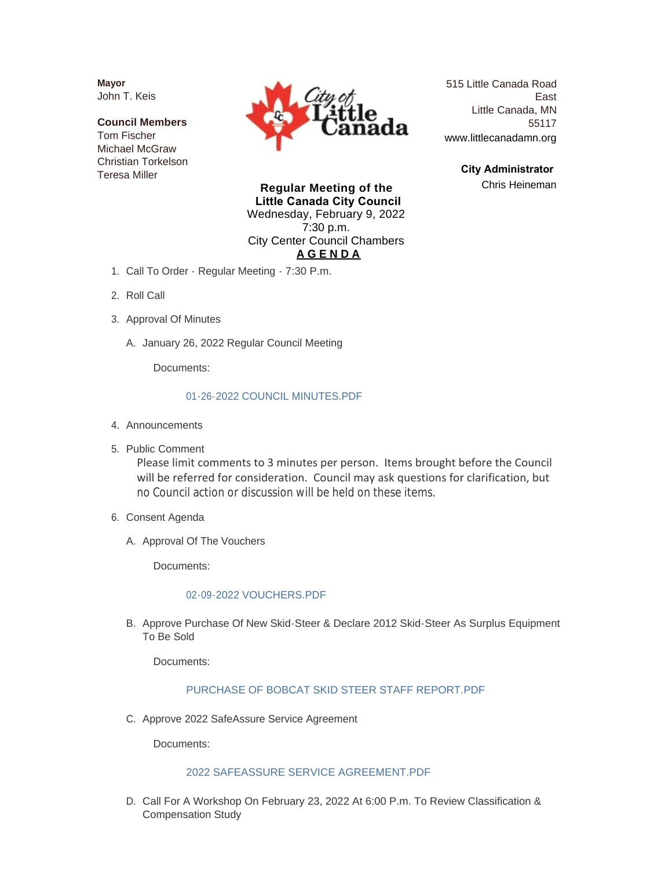**Mayor** John T. Keis

**Council Members** Tom Fischer Michael McGraw Christian Torkelson Teresa Miller



515 Little Canada Road East Little Canada, MN 55117 www.littlecanadamn.org

> **City Administrator**  Chris Heineman

**Regular Meeting of the Little Canada City Council** Wednesday, February 9, 2022 7:30 p.m. City Center Council Chambers **A G E N D A**

- 1. Call To Order Regular Meeting 7:30 P.m.
- 2. Roll Call
- 3. Approval Of Minutes
	- A. January 26, 2022 Regular Council Meeting

Documents:

#### [01-26-2022 COUNCIL MINUTES.PDF](http://www.littlecanadamn.org/AgendaCenter/ViewFile/Item/3749?fileID=3500)

- 4. Announcements
- 5. Public Comment

Please limit comments to 3 minutes per person. Items brought before the Council will be referred for consideration. Council may ask questions for clarification, but no Council action or discussion will be held on these items.

- 6. Consent Agenda
	- A. Approval Of The Vouchers

Documents:

#### [02-09-2022 VOUCHERS.PDF](http://www.littlecanadamn.org/AgendaCenter/ViewFile/Item/3729?fileID=3509)

B. Approve Purchase Of New Skid-Steer & Declare 2012 Skid-Steer As Surplus Equipment To Be Sold

Documents:

#### [PURCHASE OF BOBCAT SKID STEER STAFF REPORT.PDF](http://www.littlecanadamn.org/AgendaCenter/ViewFile/Item/3750?fileID=3501)

C. Approve 2022 SafeAssure Service Agreement

Documents:

# [2022 SAFEASSURE SERVICE AGREEMENT.PDF](http://www.littlecanadamn.org/AgendaCenter/ViewFile/Item/3751?fileID=3502)

D. Call For A Workshop On February 23, 2022 At 6:00 P.m. To Review Classification & Compensation Study